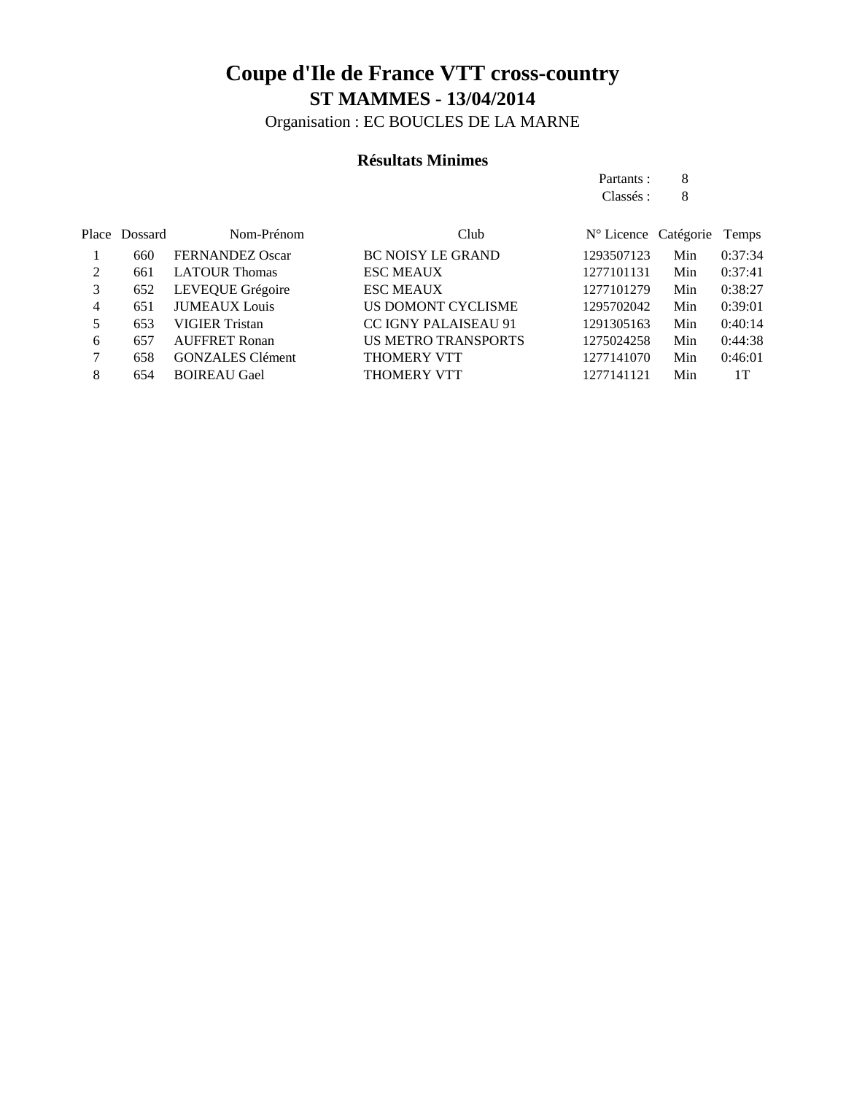Organisation : EC BOUCLES DE LA MARNE

### **Résultats Minimes**

Partants : 8 Classés : 8

|   | Place Dossard | Nom-Prénom              | Club                        | N° Licence Catégorie |     | Temps   |
|---|---------------|-------------------------|-----------------------------|----------------------|-----|---------|
|   | 660           | <b>FERNANDEZ Oscar</b>  | <b>BC NOISY LE GRAND</b>    | 1293507123           | Min | 0:37:34 |
| 2 | 661           | <b>LATOUR Thomas</b>    | <b>ESC MEAUX</b>            | 1277101131           | Min | 0:37:41 |
| 3 | 652           | LEVEQUE Grégoire        | <b>ESC MEAUX</b>            | 1277101279           | Min | 0:38:27 |
| 4 | 651           | <b>JUMEAUX</b> Louis    | US DOMONT CYCLISME          | 1295702042           | Min | 0:39:01 |
|   | 653           | VIGIER Tristan          | <b>CC IGNY PALAISEAU 91</b> | 1291305163           | Min | 0:40:14 |
| 6 | 657           | <b>AUFFRET Ronan</b>    | <b>US METRO TRANSPORTS</b>  | 1275024258           | Min | 0:44:38 |
|   | 658           | <b>GONZALES</b> Clément | <b>THOMERY VTT</b>          | 1277141070           | Min | 0:46:01 |
| 8 | 654           | <b>BOIREAU Gael</b>     | <b>THOMERY VTT</b>          | 1277141121           | Min | 1T      |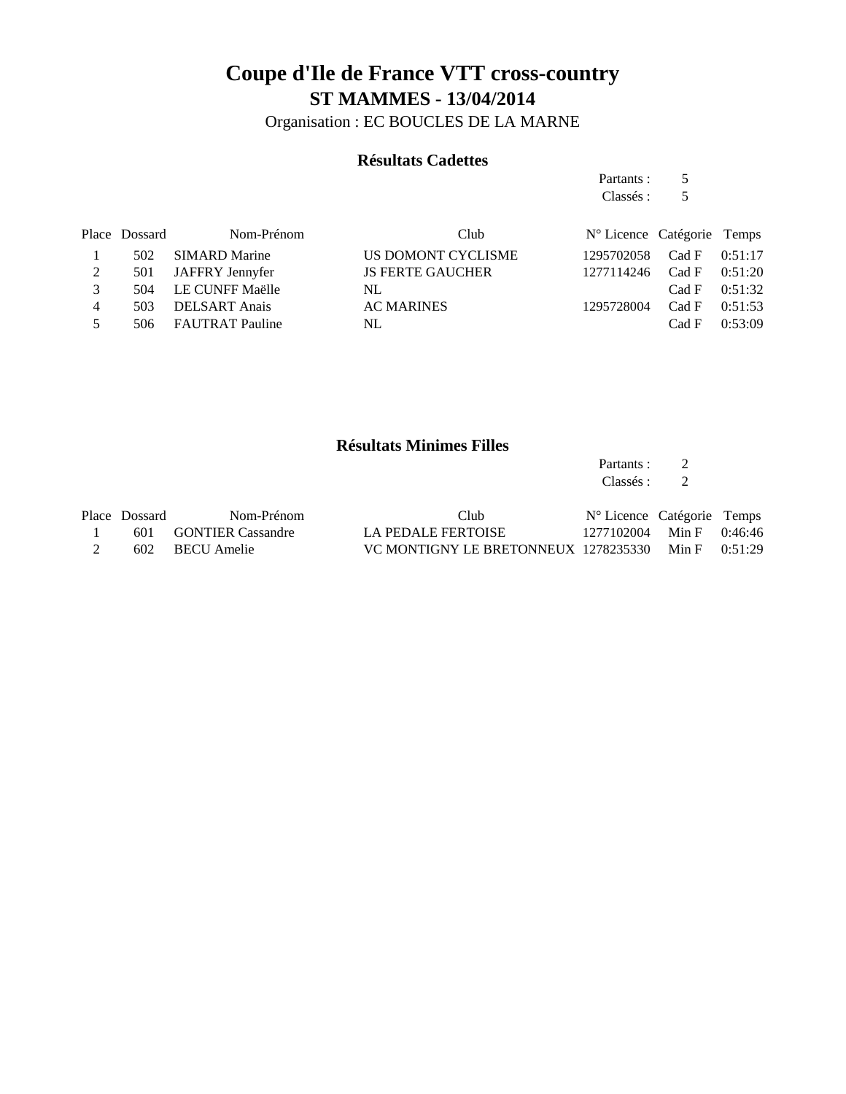Organisation : EC BOUCLES DE LA MARNE

### **Résultats Cadettes**

Partants : 5 Classés : 5 Place Dossard Nom-Prénom Club  $N^{\circ}$  Licence Catégorie Temps 1 502 SIMARD Marine US DOMONT CYCLISME 1295702058 Cad F 0:51:17 2 501 JAFFRY Jennyfer JS FERTE GAUCHER 1277114246 Cad F 0:51:20 3 504 LE CUNFF Maëlle NL Cad F 0:51:32 4 503 DELSART Anais AC MARINES 1295728004 Cad F 0:51:53 5 506 FAUTRAT Pauline NL Cad F 0:53:09

#### **Résultats Minimes Filles**

Partants : 2 Classés : 2

| Place Dossard | Nom-Prénom            | Club                                                   | N° Licence Catégorie Temps |  |
|---------------|-----------------------|--------------------------------------------------------|----------------------------|--|
|               | 601 GONTIER Cassandre | LA PEDALE FERTOISE                                     | 1277102004 Min F 0:46:46   |  |
|               | 602 BECU Amelie       | VC MONTIGNY LE BRETONNEUX $1278235330$ Min F $0.51:29$ |                            |  |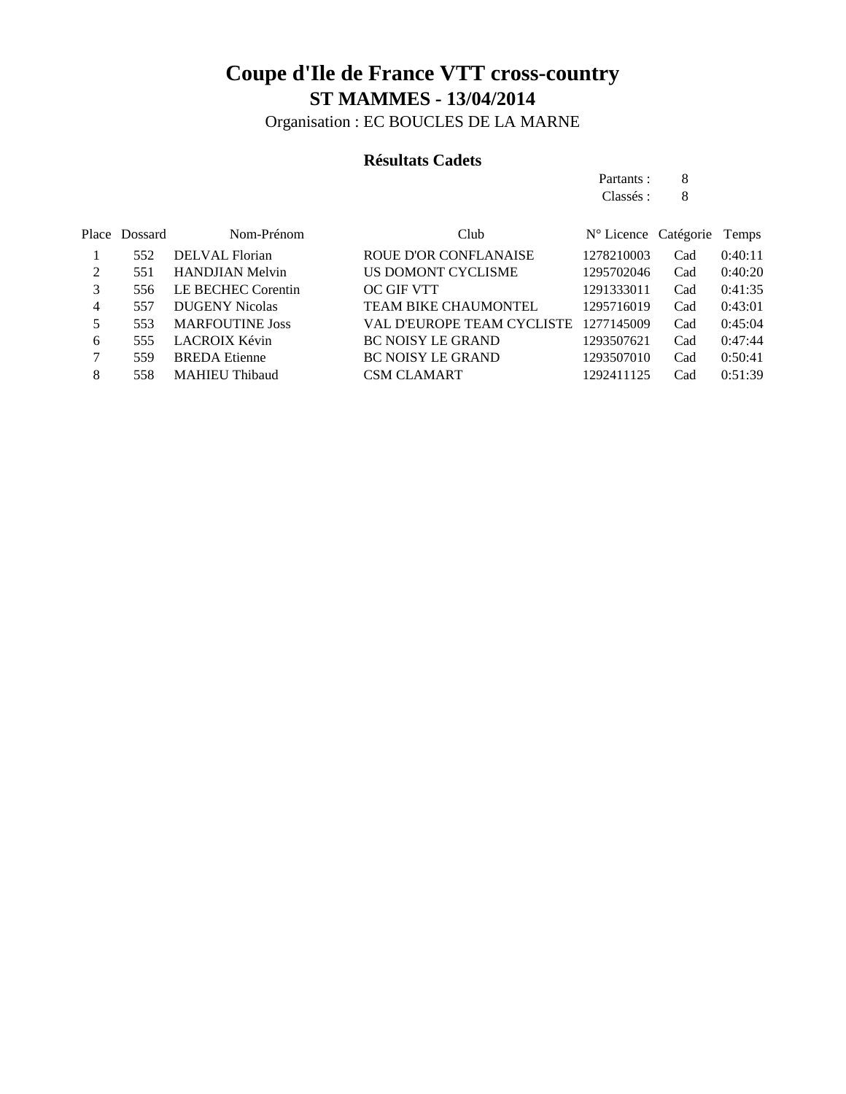Organisation : EC BOUCLES DE LA MARNE

### **Résultats Cadets**

Partants : 8 Classés : 8

|   | Place Dossard | Nom-Prénom             | Club                         | $N^{\circ}$ Licence Catégorie |     | Temps   |
|---|---------------|------------------------|------------------------------|-------------------------------|-----|---------|
|   | 552           | <b>DELVAL</b> Florian  | <b>ROUE D'OR CONFLANAISE</b> | 1278210003                    | Cad | 0:40:11 |
|   | 551           | <b>HANDJIAN Melvin</b> | US DOMONT CYCLISME           | 1295702046                    | Cad | 0:40:20 |
| 3 | 556           | LE BECHEC Corentin     | <b>OC GIF VTT</b>            | 1291333011                    | Cad | 0:41:35 |
| 4 | 557           | <b>DUGENY Nicolas</b>  | <b>TEAM BIKE CHAUMONTEL</b>  | 1295716019                    | Cad | 0:43:01 |
| 5 | 553           | <b>MARFOUTINE Joss</b> | VAL D'EUROPE TEAM CYCLISTE   | 1277145009                    | Cad | 0:45:04 |
| 6 | 555           | LACROIX Kévin          | <b>BC NOISY LE GRAND</b>     | 1293507621                    | Cad | 0:47:44 |
|   | 559           | <b>BREDA</b> Etienne   | <b>BC NOISY LE GRAND</b>     | 1293507010                    | Cad | 0:50:41 |
| 8 | 558           | <b>MAHIEU Thibaud</b>  | <b>CSM CLAMART</b>           | 1292411125                    | Cad | 0:51:39 |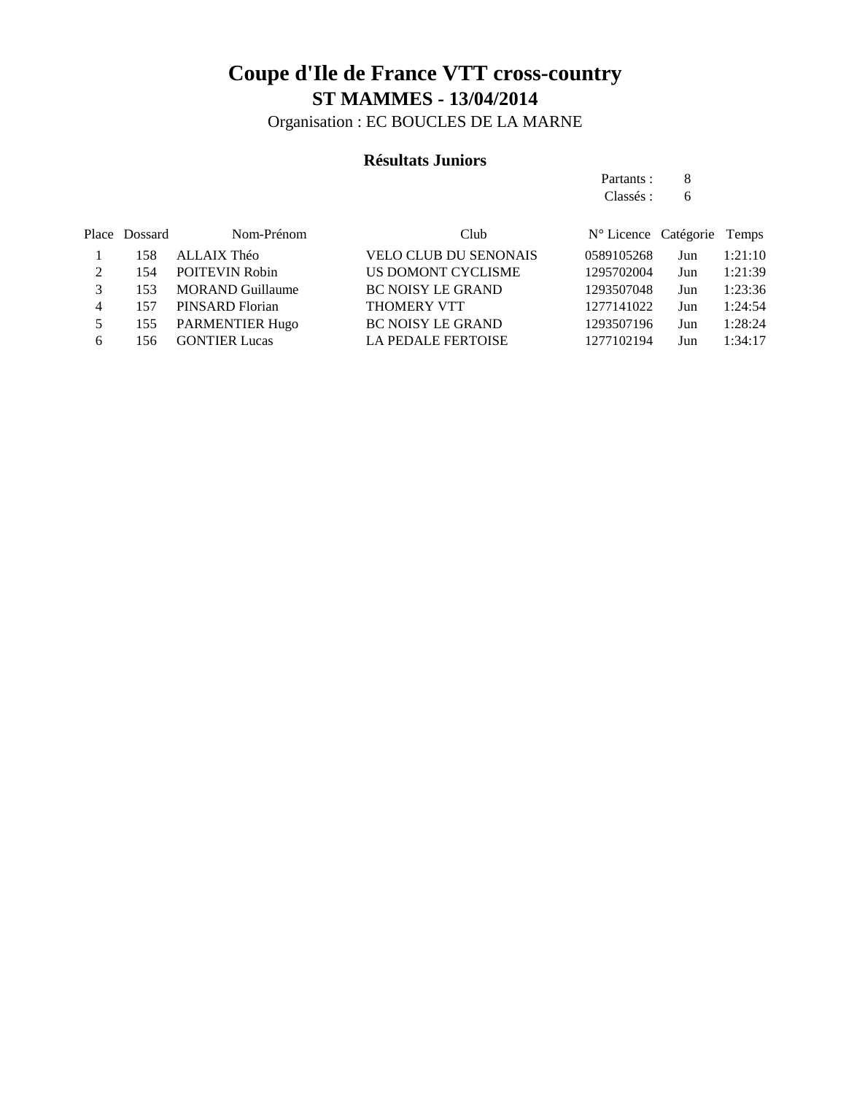Organisation : EC BOUCLES DE LA MARNE

### **Résultats Juniors**

Partants : 8 Classés : 6

|               | Place Dossard | Nom-Prénom              | Club                         | N° Licence Catégorie Temps |     |         |
|---------------|---------------|-------------------------|------------------------------|----------------------------|-----|---------|
|               | 158           | ALLAIX Théo             | <b>VELO CLUB DU SENONAIS</b> | 0589105268                 | Jun | 1:21:10 |
| $\mathcal{D}$ | 154           | <b>POITEVIN Robin</b>   | US DOMONT CYCLISME           | 1295702004                 | Jun | 1:21:39 |
|               | 153           | <b>MORAND Guillaume</b> | <b>BC NOISY LE GRAND</b>     | 1293507048                 | Jun | 1:23:36 |
| 4             | 157           | PINSARD Florian         | <b>THOMERY VTT</b>           | 1277141022                 | Jun | 1:24:54 |
|               | 155           | <b>PARMENTIER Hugo</b>  | <b>BC NOISY LE GRAND</b>     | 1293507196                 | Jun | 1:28:24 |
| 6             | 156.          | <b>GONTIER Lucas</b>    | <b>LA PEDALE FERTOISE</b>    | 1277102194                 | Jun | 1:34:17 |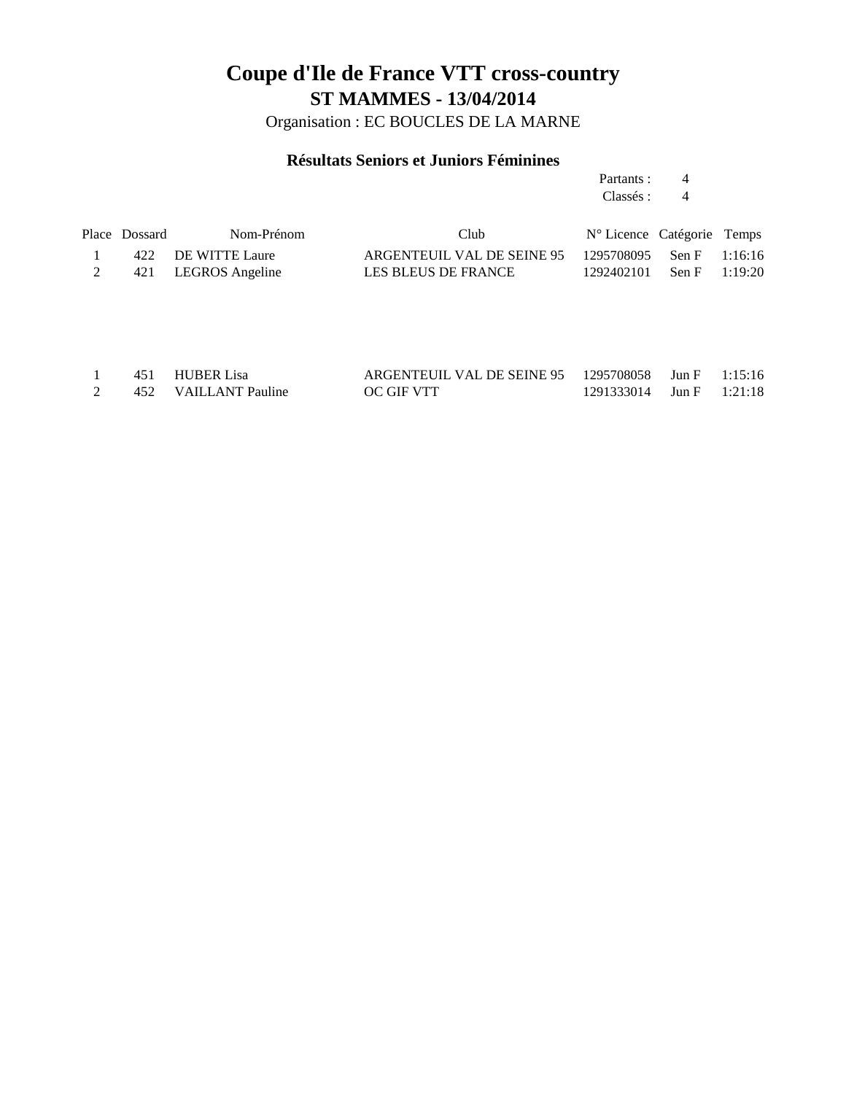Organisation : EC BOUCLES DE LA MARNE

### **Résultats Seniors et Juniors Féminines**

Partants : 4 Classés : 4

| Place Dossard | Nom-Prénom          | Club                                                | $N^{\circ}$ Licence Catégorie Temps |  |
|---------------|---------------------|-----------------------------------------------------|-------------------------------------|--|
|               | 422 DE WITTE Laure  | ARGENTEUIL VAL DE SEINE 95 1295708095 Sen F 1:16:16 |                                     |  |
|               | 421 LEGROS Angeline | LES BLEUS DE FRANCE                                 | $1292402101$ Sen F $1:19:20$        |  |

|  | 451 HUBER Lisa       | ARGENTEUIL VAL DE SEINE 95 1295708058 Jun F 1:15:16 |                              |  |
|--|----------------------|-----------------------------------------------------|------------------------------|--|
|  | 452 VAILLANT Pauline | OC GIF VTT                                          | $1291333014$ Jun F $1:21:18$ |  |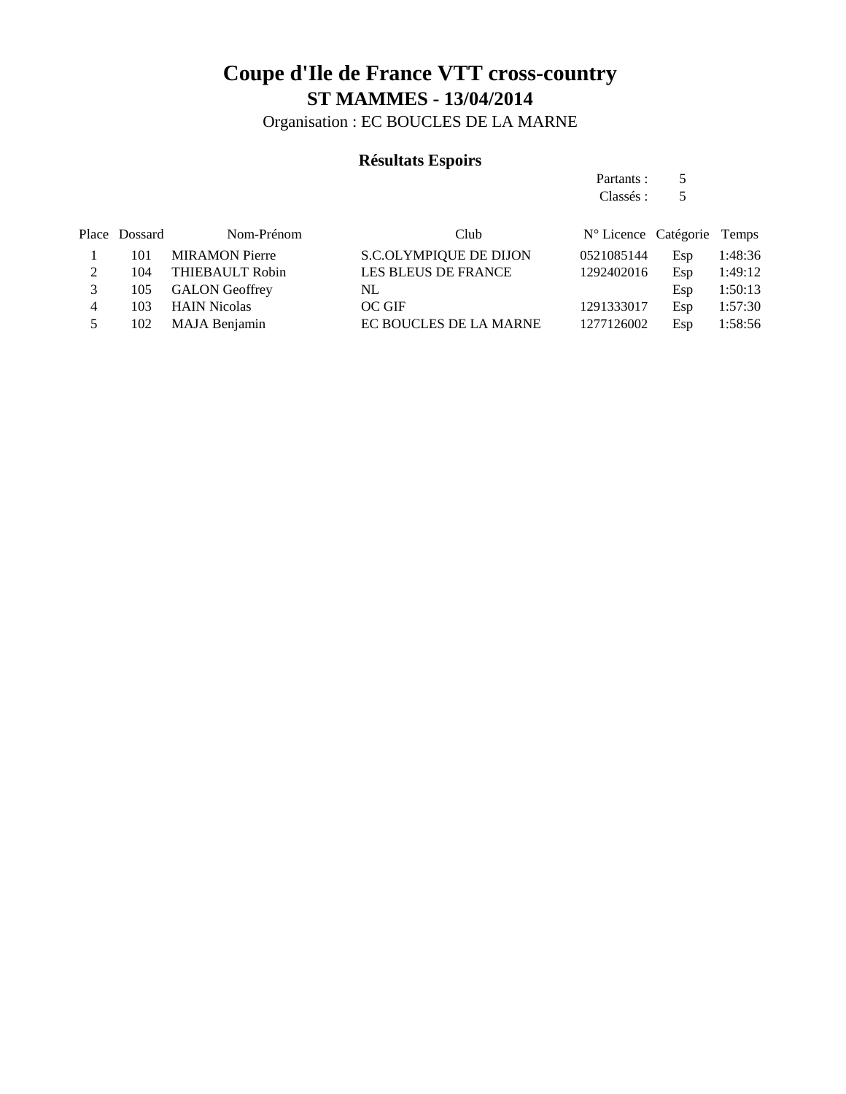Organisation : EC BOUCLES DE LA MARNE

### **Résultats Espoirs**

Partants : 5 Classés : 5

|   | Place Dossard | Nom-Prénom            | Club                          | N° Licence Catégorie Temps |     |         |
|---|---------------|-----------------------|-------------------------------|----------------------------|-----|---------|
|   | 101           | <b>MIRAMON Pierre</b> | <b>S.C.OLYMPIQUE DE DIJON</b> | 0521085144                 | Esp | 1:48:36 |
|   | 104           | THIEBAULT Robin       | LES BLEUS DE FRANCE           | 1292402016                 | Esp | 1:49:12 |
| 3 | 105           | <b>GALON Geoffrey</b> | NL                            |                            | Esp | 1:50:13 |
| 4 | 103           | <b>HAIN Nicolas</b>   | OC GIF                        | 1291333017                 | Esp | 1:57:30 |
| 5 | 102           | MAJA Benjamin         | EC BOUCLES DE LA MARNE        | 1277126002                 | Esp | 1:58:56 |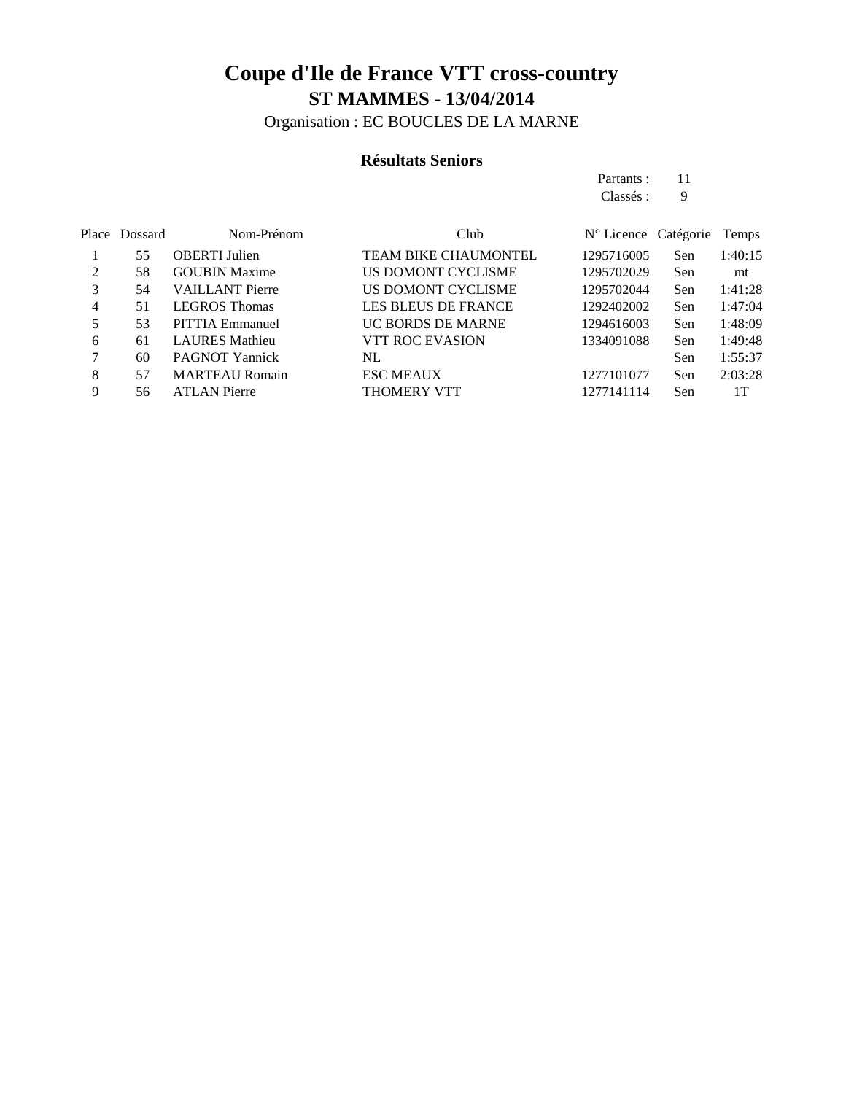Organisation : EC BOUCLES DE LA MARNE

### **Résultats Seniors**

Partants : 11 Classés : 9

|   | Place Dossard | Nom-Prénom             | Club                        | $N^{\circ}$ Licence Catégorie |            | Temps   |
|---|---------------|------------------------|-----------------------------|-------------------------------|------------|---------|
|   | 55            | <b>OBERTI</b> Julien   | <b>TEAM BIKE CHAUMONTEL</b> | 1295716005                    | Sen        | 1:40:15 |
| 2 | 58            | <b>GOUBIN Maxime</b>   | US DOMONT CYCLISME          | 1295702029                    | Sen        | mt      |
| 3 | 54            | <b>VAILLANT Pierre</b> | US DOMONT CYCLISME          | 1295702044                    | Sen        | 1:41:28 |
| 4 | 51            | <b>LEGROS</b> Thomas   | <b>LES BLEUS DE FRANCE</b>  | 1292402002                    | Sen        | 1:47:04 |
|   | 53            | PITTIA Emmanuel        | UC BORDS DE MARNE           | 1294616003                    | Sen        | 1:48:09 |
| 6 | 61            | <b>LAURES</b> Mathieu  | <b>VTT ROC EVASION</b>      | 1334091088                    | Sen        | 1:49:48 |
| 7 | 60            | <b>PAGNOT Yannick</b>  | NL                          |                               | <b>Sen</b> | 1:55:37 |
| 8 | 57            | <b>MARTEAU Romain</b>  | <b>ESC MEAUX</b>            | 1277101077                    | Sen        | 2:03:28 |
| 9 | 56            | <b>ATLAN Pierre</b>    | THOMERY VTT                 | 1277141114                    | Sen        | 1 T     |
|   |               |                        |                             |                               |            |         |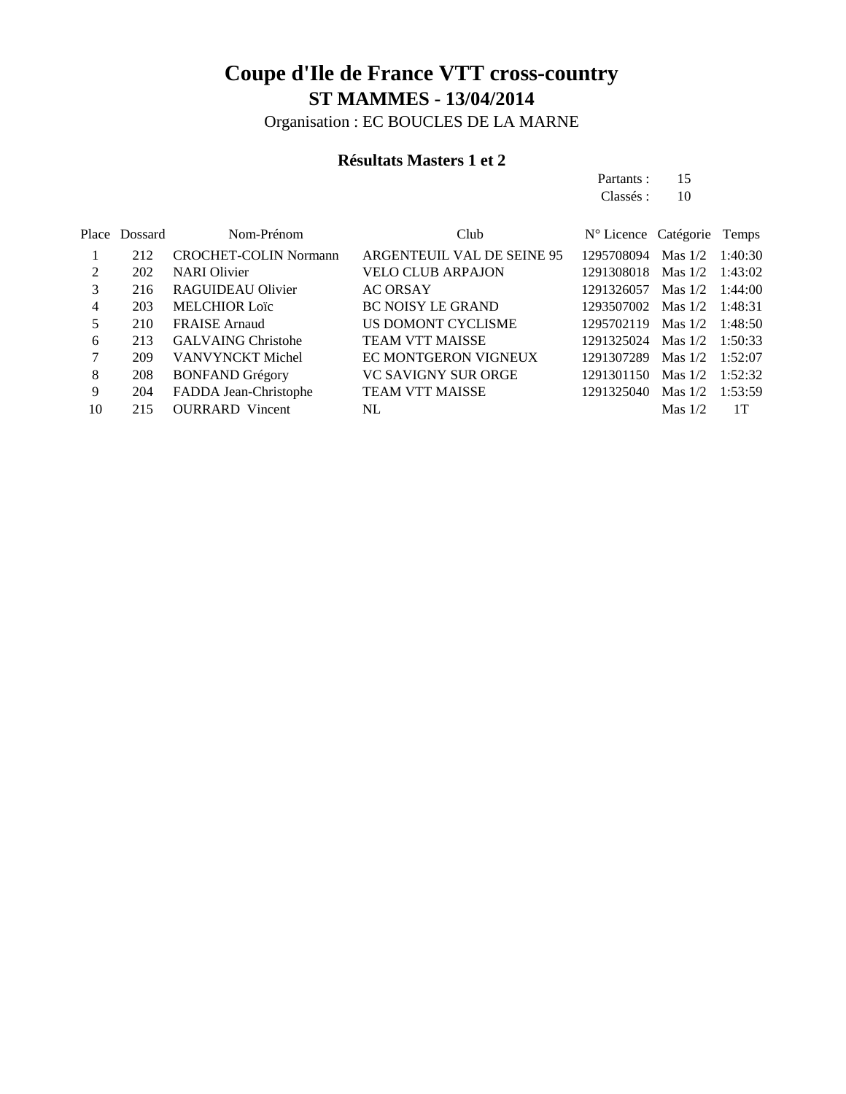Organisation : EC BOUCLES DE LA MARNE

### **Résultats Masters 1 et 2**

Partants : 15 Classés : 10

|    | Place Dossard | Nom-Prénom                   | Club                        | N° Licence Catégorie Temps |                   |         |
|----|---------------|------------------------------|-----------------------------|----------------------------|-------------------|---------|
|    | 212           | <b>CROCHET-COLIN Normann</b> | ARGENTEUIL VAL DE SEINE 95  | 1295708094                 | Mas $1/2$         | 1:40:30 |
| 2  | 202           | <b>NARI</b> Olivier          | <b>VELO CLUB ARPAJON</b>    | 1291308018 Mas 1/2 1:43:02 |                   |         |
| 3  | 216           | RAGUIDEAU Olivier            | <b>AC ORSAY</b>             | 1291326057                 | Mas $1/2$ 1:44:00 |         |
| 4  | 203           | <b>MELCHIOR Loïc</b>         | <b>BC NOISY LE GRAND</b>    | 1293507002 Mas 1/2         |                   | 1:48:31 |
| 5  | 210           | <b>FRAISE</b> Arnaud         | US DOMONT CYCLISME          | 1295702119                 | Mas $1/2$ 1:48:50 |         |
| 6  | 213           | <b>GALVAING Christohe</b>    | <b>TEAM VTT MAISSE</b>      | 1291325024 Mas 1/2         |                   | 1:50:33 |
|    | 209           | <b>VANVYNCKT</b> Michel      | <b>EC MONTGERON VIGNEUX</b> | 1291307289                 | Mas $1/2$         | 1:52:07 |
| 8  | 208           | <b>BONFAND Grégory</b>       | <b>VC SAVIGNY SUR ORGE</b>  | 1291301150                 | Mas $1/2$         | 1:52:32 |
| 9  | 204           | FADDA Jean-Christophe        | <b>TEAM VTT MAISSE</b>      | 1291325040                 | Mas $1/2$         | 1:53:59 |
| 10 | 215           | <b>OURRARD</b> Vincent       | NL                          |                            | Mas $1/2$         | 1T      |
|    |               |                              |                             |                            |                   |         |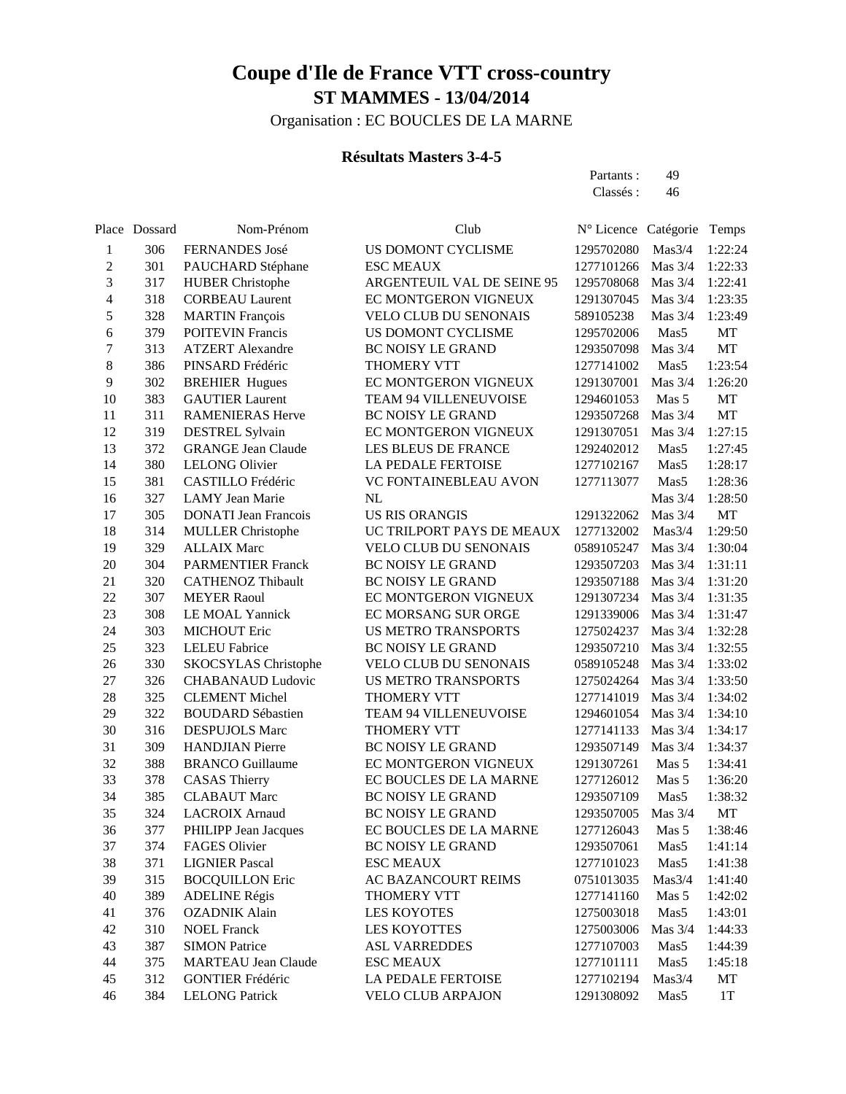Organisation : EC BOUCLES DE LA MARNE

### **Résultats Masters 3-4-5**

Partants : 49 Classés: 46

|                          | Place Dossard | Nom-Prénom                             | Club                                              | Nº Licence Catégorie     |                      | Temps              |
|--------------------------|---------------|----------------------------------------|---------------------------------------------------|--------------------------|----------------------|--------------------|
| 1                        | 306           | FERNANDES José                         | US DOMONT CYCLISME                                | 1295702080               | Mas3/4               | 1:22:24            |
| $\overline{c}$           | 301           | PAUCHARD Stéphane                      | <b>ESC MEAUX</b>                                  | 1277101266               | Mas $3/4$            | 1:22:33            |
| 3                        | 317           | <b>HUBER Christophe</b>                | ARGENTEUIL VAL DE SEINE 95                        | 1295708068               | Mas $3/4$            | 1:22:41            |
| $\overline{\mathcal{L}}$ | 318           | <b>CORBEAU Laurent</b>                 | EC MONTGERON VIGNEUX                              | 1291307045               | Mas $3/4$            | 1:23:35            |
| 5                        | 328           | <b>MARTIN</b> François                 | <b>VELO CLUB DU SENONAIS</b>                      | 589105238                | Mas 3/4              | 1:23:49            |
| 6                        | 379           | <b>POITEVIN Francis</b>                | US DOMONT CYCLISME                                | 1295702006               | Mas5                 | MT                 |
| $\boldsymbol{7}$         | 313           | <b>ATZERT</b> Alexandre                | <b>BC NOISY LE GRAND</b>                          | 1293507098               | Mas 3/4              | MT                 |
| 8                        | 386           | PINSARD Frédéric                       | <b>THOMERY VTT</b>                                | 1277141002               | Mas5                 | 1:23:54            |
| 9                        | 302           | <b>BREHIER Hugues</b>                  | EC MONTGERON VIGNEUX                              | 1291307001               | Mas 3/4              | 1:26:20            |
| 10                       | 383           | <b>GAUTIER Laurent</b>                 | TEAM 94 VILLENEUVOISE                             | 1294601053               | Mas 5                | MT                 |
| 11                       | 311           | <b>RAMENIERAS Herve</b>                | <b>BC NOISY LE GRAND</b>                          | 1293507268               | Mas $3/4$            | MT                 |
| 12                       | 319           | <b>DESTREL Sylvain</b>                 | EC MONTGERON VIGNEUX                              | 1291307051               | Mas $3/4$            | 1:27:15            |
| 13                       | 372           | <b>GRANGE Jean Claude</b>              | LES BLEUS DE FRANCE                               | 1292402012               | Mas5                 | 1:27:45            |
| 14                       | 380           | <b>LELONG Olivier</b>                  | LA PEDALE FERTOISE                                | 1277102167               | Mas <sub>5</sub>     | 1:28:17            |
| 15                       | 381           | CASTILLO Frédéric                      | VC FONTAINEBLEAU AVON                             | 1277113077               | Mas <sub>5</sub>     | 1:28:36            |
| 16                       | 327           | <b>LAMY</b> Jean Marie                 | <b>NL</b>                                         |                          | Mas 3/4              | 1:28:50            |
| 17                       | 305           | <b>DONATI</b> Jean Francois            | <b>US RIS ORANGIS</b>                             | 1291322062               | Mas $3/4$            | MT                 |
| 18                       | 314           | <b>MULLER Christophe</b>               | UC TRILPORT PAYS DE MEAUX                         | 1277132002               | Mas3/4               | 1:29:50            |
| 19                       | 329           | <b>ALLAIX Marc</b>                     | <b>VELO CLUB DU SENONAIS</b>                      | 0589105247               | Mas 3/4              | 1:30:04            |
| 20                       | 304           | <b>PARMENTIER Franck</b>               | <b>BC NOISY LE GRAND</b>                          | 1293507203               | Mas 3/4              | 1:31:11            |
| 21<br>22                 | 320           | <b>CATHENOZ Thibault</b>               | <b>BC NOISY LE GRAND</b>                          | 1293507188               | Mas 3/4              | 1:31:20            |
| 23                       | 307<br>308    | <b>MEYER Raoul</b>                     | EC MONTGERON VIGNEUX                              | 1291307234               | Mas 3/4<br>Mas $3/4$ | 1:31:35<br>1:31:47 |
| 24                       | 303           | LE MOAL Yannick<br><b>MICHOUT Eric</b> | EC MORSANG SUR ORGE<br><b>US METRO TRANSPORTS</b> | 1291339006<br>1275024237 | Mas $3/4$            | 1:32:28            |
| 25                       | 323           | <b>LELEU</b> Fabrice                   | BC NOISY LE GRAND                                 | 1293507210               | Mas $3/4$            | 1:32:55            |
| 26                       | 330           | <b>SKOCSYLAS</b> Christophe            | VELO CLUB DU SENONAIS                             | 0589105248               | Mas $3/4$            | 1:33:02            |
| 27                       | 326           | <b>CHABANAUD Ludovic</b>               | <b>US METRO TRANSPORTS</b>                        | 1275024264               | Mas $3/4$            | 1:33:50            |
| 28                       | 325           | <b>CLEMENT Michel</b>                  | THOMERY VTT                                       | 1277141019               | Mas $3/4$            | 1:34:02            |
| 29                       | 322           | <b>BOUDARD Sébastien</b>               | TEAM 94 VILLENEUVOISE                             | 1294601054               | Mas 3/4              | 1:34:10            |
| 30                       | 316           | <b>DESPUJOLS Marc</b>                  | <b>THOMERY VTT</b>                                | 1277141133               | Mas 3/4              | 1:34:17            |
| 31                       | 309           | <b>HANDJIAN</b> Pierre                 | BC NOISY LE GRAND                                 | 1293507149               | Mas 3/4              | 1:34:37            |
| 32                       | 388           | <b>BRANCO</b> Guillaume                | EC MONTGERON VIGNEUX                              | 1291307261               | Mas 5                | 1:34:41            |
| 33                       | 378           | <b>CASAS Thierry</b>                   | EC BOUCLES DE LA MARNE                            | 1277126012               | Mas 5                | 1:36:20            |
| 34                       | 385           | <b>CLABAUT</b> Marc                    | <b>BC NOISY LE GRAND</b>                          | 1293507109               | Mas <sub>5</sub>     | 1:38:32            |
| 35                       | 324           | <b>LACROIX Arnaud</b>                  | BC NOISY LE GRAND                                 | 1293507005               | Mas $3/4$            | MT                 |
| 36                       | 377           | PHILIPP Jean Jacques                   | EC BOUCLES DE LA MARNE                            | 1277126043               | Mas 5                | 1:38:46            |
| 37                       | 374           | FAGES Olivier                          | BC NOISY LE GRAND                                 | 1293507061               | Mas5                 | 1:41:14            |
| 38                       | 371           | <b>LIGNIER Pascal</b>                  | <b>ESC MEAUX</b>                                  | 1277101023               | Mas5                 | 1:41:38            |
| 39                       | 315           | <b>BOCQUILLON Eric</b>                 | AC BAZANCOURT REIMS                               | 0751013035               | Mas3/4               | 1:41:40            |
| 40                       | 389           | <b>ADELINE Régis</b>                   | THOMERY VTT                                       | 1277141160               | Mas 5                | 1:42:02            |
| 41                       | 376           | <b>OZADNIK Alain</b>                   | LES KOYOTES                                       | 1275003018               | Mas5                 | 1:43:01            |
| 42                       | 310           | <b>NOEL Franck</b>                     | LES KOYOTTES                                      | 1275003006               | Mas 3/4              | 1:44:33            |
| 43                       | 387           | <b>SIMON Patrice</b>                   | <b>ASL VARREDDES</b>                              | 1277107003               | Mas5                 | 1:44:39            |
| 44                       | 375           | <b>MARTEAU Jean Claude</b>             | <b>ESC MEAUX</b>                                  | 1277101111               | Mas5                 | 1:45:18            |
| 45                       | 312           | <b>GONTIER Frédéric</b>                | LA PEDALE FERTOISE                                | 1277102194               | Mas3/4               | MT                 |
| 46                       | 384           | <b>LELONG Patrick</b>                  | <b>VELO CLUB ARPAJON</b>                          | 1291308092               | Mas <sub>5</sub>     | 1T                 |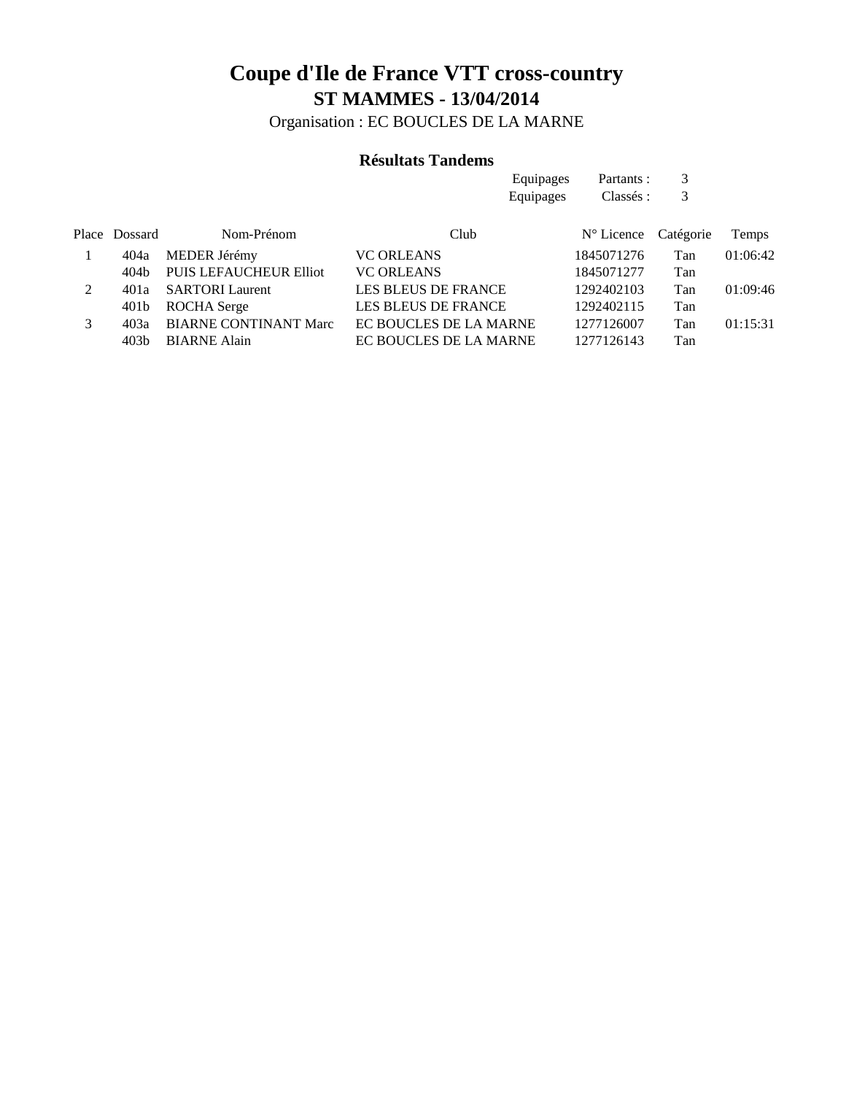Organisation : EC BOUCLES DE LA MARNE

### **Résultats Tandems**

|   |                  |                              | Equipages                  | Partants:           | 3         |          |
|---|------------------|------------------------------|----------------------------|---------------------|-----------|----------|
|   |                  |                              | Equipages                  | Classés :           | 3         |          |
|   | Place Dossard    | Nom-Prénom                   | Club                       | $N^{\circ}$ Licence | Catégorie | Temps    |
|   | 404a             | MEDER Jérémy                 | <b>VC ORLEANS</b>          | 1845071276          | Tan       | 01:06:42 |
|   | 404b             | PUIS LEFAUCHEUR Elliot       | <b>VC ORLEANS</b>          | 1845071277          | Tan       |          |
| 2 | 401a             | <b>SARTORI</b> Laurent       | <b>LES BLEUS DE FRANCE</b> | 1292402103          | Tan       | 01:09:46 |
|   | 401b             | ROCHA Serge                  | <b>LES BLEUS DE FRANCE</b> | 1292402115          | Tan       |          |
| 3 | 403a             | <b>BIARNE CONTINANT Marc</b> | EC BOUCLES DE LA MARNE     | 1277126007          | Tan       | 01:15:31 |
|   | 403 <sub>b</sub> | <b>BIARNE Alain</b>          | EC BOUCLES DE LA MARNE     | 1277126143          | Tan       |          |